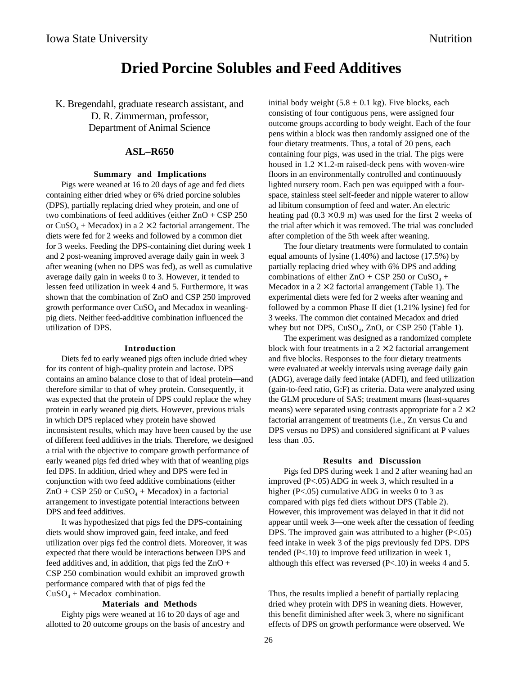## **Dried Porcine Solubles and Feed Additives**

K. Bregendahl, graduate research assistant, and D. R. Zimmerman, professor, Department of Animal Science

#### **ASL–R650**

#### **Summary and Implications**

Pigs were weaned at 16 to 20 days of age and fed diets containing either dried whey or 6% dried porcine solubles (DPS), partially replacing dried whey protein, and one of two combinations of feed additives (either ZnO + CSP 250 or  $CuSO_4$  + Mecadox) in a 2  $\times$  2 factorial arrangement. The diets were fed for 2 weeks and followed by a common diet for 3 weeks. Feeding the DPS-containing diet during week 1 and 2 post-weaning improved average daily gain in week 3 after weaning (when no DPS was fed), as well as cumulative average daily gain in weeks 0 to 3. However, it tended to lessen feed utilization in week 4 and 5. Furthermore, it was shown that the combination of ZnO and CSP 250 improved growth performance over  $CuSO<sub>4</sub>$  and Mecadox in weanlingpig diets. Neither feed-additive combination influenced the utilization of DPS.

#### **Introduction**

Diets fed to early weaned pigs often include dried whey for its content of high-quality protein and lactose. DPS contains an amino balance close to that of ideal protein—and therefore similar to that of whey protein. Consequently, it was expected that the protein of DPS could replace the whey protein in early weaned pig diets. However, previous trials in which DPS replaced whey protein have showed inconsistent results, which may have been caused by the use of different feed additives in the trials. Therefore, we designed a trial with the objective to compare growth performance of early weaned pigs fed dried whey with that of weanling pigs fed DPS. In addition, dried whey and DPS were fed in conjunction with two feed additive combinations (either  $ZnO + CSP 250$  or  $CuSO<sub>4</sub> + Mecadox$ ) in a factorial arrangement to investigate potential interactions between DPS and feed additives.

It was hypothesized that pigs fed the DPS-containing diets would show improved gain, feed intake, and feed utilization over pigs fed the control diets. Moreover, it was expected that there would be interactions between DPS and feed additives and, in addition, that pigs fed the  $ZnO +$ CSP 250 combination would exhibit an improved growth performance compared with that of pigs fed the  $CuSO<sub>4</sub> + Mecadox$  combination.

#### **Materials and Methods**

Eighty pigs were weaned at 16 to 20 days of age and allotted to 20 outcome groups on the basis of ancestry and initial body weight  $(5.8 \pm 0.1 \text{ kg})$ . Five blocks, each consisting of four contiguous pens, were assigned four outcome groups according to body weight. Each of the four pens within a block was then randomly assigned one of the four dietary treatments. Thus, a total of 20 pens, each containing four pigs, was used in the trial. The pigs were housed in  $1.2 \times 1.2$ -m raised-deck pens with woven-wire floors in an environmentally controlled and continuously lighted nursery room. Each pen was equipped with a fourspace, stainless steel self-feeder and nipple waterer to allow ad libitum consumption of feed and water. An electric heating pad  $(0.3 \times 0.9 \text{ m})$  was used for the first 2 weeks of the trial after which it was removed. The trial was concluded after completion of the 5th week after weaning.

The four dietary treatments were formulated to contain equal amounts of lysine (1.40%) and lactose (17.5%) by partially replacing dried whey with 6% DPS and adding combinations of either  $ZnO + CSP 250$  or  $CuSO<sub>4</sub> +$ Mecadox in a  $2 \times 2$  factorial arrangement (Table 1). The experimental diets were fed for 2 weeks after weaning and followed by a common Phase II diet (1.21% lysine) fed for 3 weeks. The common diet contained Mecadox and dried whey but not DPS,  $CuSO<sub>4</sub>$ , ZnO, or CSP 250 (Table 1).

The experiment was designed as a randomized complete block with four treatments in a  $2 \times 2$  factorial arrangement and five blocks. Responses to the four dietary treatments were evaluated at weekly intervals using average daily gain (ADG), average daily feed intake (ADFI), and feed utilization (gain-to-feed ratio, G:F) as criteria. Data were analyzed using the GLM procedure of SAS; treatment means (least-squares means) were separated using contrasts appropriate for a  $2 \times 2$ factorial arrangement of treatments (i.e., Zn versus Cu and DPS versus no DPS) and considered significant at P values less than .05.

#### **Results and Discussion**

Pigs fed DPS during week 1 and 2 after weaning had an improved (P<.05) ADG in week 3, which resulted in a higher (P<.05) cumulative ADG in weeks 0 to 3 as compared with pigs fed diets without DPS (Table 2). However, this improvement was delayed in that it did not appear until week 3—one week after the cessation of feeding DPS. The improved gain was attributed to a higher  $(P<.05)$ feed intake in week 3 of the pigs previously fed DPS. DPS tended (P<.10) to improve feed utilization in week 1, although this effect was reversed (P<.10) in weeks 4 and 5.

Thus, the results implied a benefit of partially replacing dried whey protein with DPS in weaning diets. However, this benefit diminished after week 3, where no significant effects of DPS on growth performance were observed. We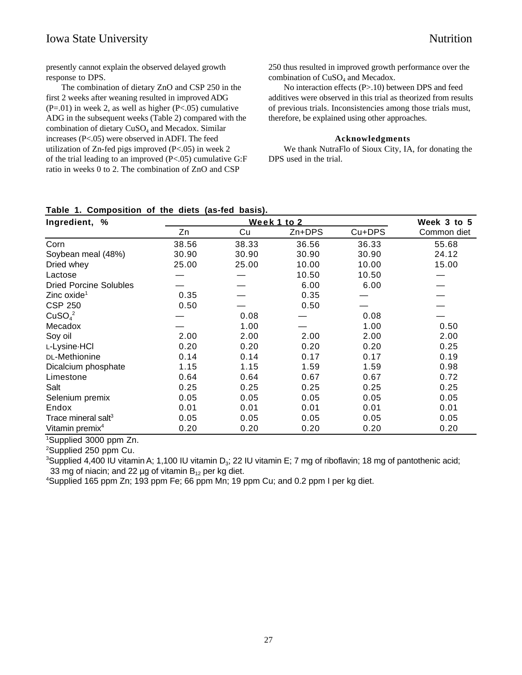### Iowa State University Nutrition

presently cannot explain the observed delayed growth response to DPS.

The combination of dietary ZnO and CSP 250 in the first 2 weeks after weaning resulted in improved ADG  $(P=.01)$  in week 2, as well as higher  $(P<.05)$  cumulative ADG in the subsequent weeks (Table 2) compared with the combination of dietary  $CuSO<sub>4</sub>$  and Mecadox. Similar increases (P<.05) were observed in ADFI. The feed utilization of Zn-fed pigs improved (P<.05) in week 2 of the trial leading to an improved (P<.05) cumulative G:F ratio in weeks 0 to 2. The combination of ZnO and CSP

250 thus resulted in improved growth performance over the combination of CuSO<sub>4</sub> and Mecadox.

No interaction effects (P>.10) between DPS and feed additives were observed in this trial as theorized from results of previous trials. Inconsistencies among those trials must, therefore, be explained using other approaches.

#### **Acknowledgments**

We thank NutraFlo of Sioux City, IA, for donating the DPS used in the trial.

# **Table 1. Composition of the diets (as-fed basis).**

| Ingredient, %                   |       | Week 3 to 5 |        |        |             |
|---------------------------------|-------|-------------|--------|--------|-------------|
|                                 | Zn    | Cu          | Zn+DPS | Cu+DPS | Common diet |
| Corn                            | 38.56 | 38.33       | 36.56  | 36.33  | 55.68       |
| Soybean meal (48%)              | 30.90 | 30.90       | 30.90  | 30.90  | 24.12       |
| Dried whey                      | 25.00 | 25.00       | 10.00  | 10.00  | 15.00       |
| Lactose                         |       |             | 10.50  | 10.50  |             |
| <b>Dried Porcine Solubles</b>   |       |             | 6.00   | 6.00   |             |
| Zinc oxide <sup>1</sup>         | 0.35  |             | 0.35   |        |             |
| <b>CSP 250</b>                  | 0.50  |             | 0.50   |        |             |
| CuSO <sub>4</sub> <sup>2</sup>  |       | 0.08        |        | 0.08   |             |
| Mecadox                         |       | 1.00        |        | 1.00   | 0.50        |
| Soy oil                         | 2.00  | 2.00        | 2.00   | 2.00   | 2.00        |
| L-Lysine-HCI                    | 0.20  | 0.20        | 0.20   | 0.20   | 0.25        |
| DL-Methionine                   | 0.14  | 0.14        | 0.17   | 0.17   | 0.19        |
| Dicalcium phosphate             | 1.15  | 1.15        | 1.59   | 1.59   | 0.98        |
| Limestone                       | 0.64  | 0.64        | 0.67   | 0.67   | 0.72        |
| Salt                            | 0.25  | 0.25        | 0.25   | 0.25   | 0.25        |
| Selenium premix                 | 0.05  | 0.05        | 0.05   | 0.05   | 0.05        |
| Endox                           | 0.01  | 0.01        | 0.01   | 0.01   | 0.01        |
| Trace mineral salt <sup>3</sup> | 0.05  | 0.05        | 0.05   | 0.05   | 0.05        |
| Vitamin premix <sup>4</sup>     | 0.20  | 0.20        | 0.20   | 0.20   | 0.20        |

1 Supplied 3000 ppm Zn.

<sup>2</sup>Supplied 250 ppm Cu.

 $3$ Supplied 4,400 IU vitamin A; 1,100 IU vitamin D<sub>3</sub>; 22 IU vitamin E; 7 mg of riboflavin; 18 mg of pantothenic acid; 33 mg of niacin; and 22 µg of vitamin  $B_{12}$  per kg diet.

Supplied 165 ppm Zn; 193 ppm Fe; 66 ppm Mn; 19 ppm Cu; and 0.2 ppm I per kg diet.